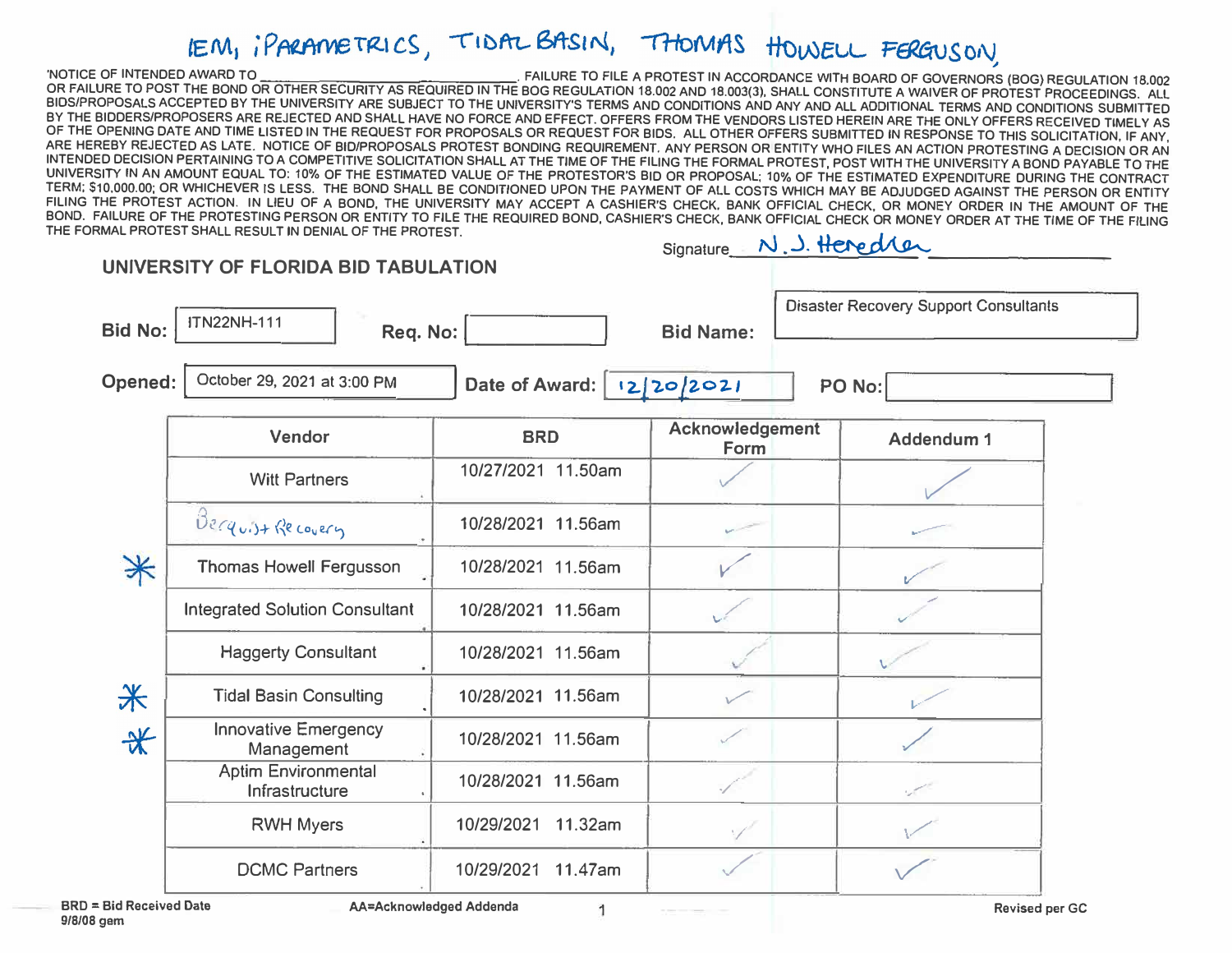## IEM, iPARAMETRICS, TIDAL BASIN, THOMAS HOWELL FERGUSON

TO THE BOOK THE BOOK OF OTHER SECURITY AS REQUIRED IN THE BOG REGUIRED TO FILE A PROTEST IN ACCORDANCE WITH BOARD OF GOVERNORS (BOG) REGULATION 18.002<br>TO REALURE TO POST THE BOND OR OTHER SECURITY AS REQUIRED IN THE BOG RE  $J_{\rm A}$   $J_{\rm A}$   $J_{\rm A}$   $J_{\rm A}$  ,  $J_{\rm A}$  ,  $J_{\rm A}$ 

| <b>Bid No:</b>       | <b>ITN22NH-111</b><br>Req. No:               |                             | <b>Bid Name:</b>        | <b>Disaster Recovery Support Consultants</b> |
|----------------------|----------------------------------------------|-----------------------------|-------------------------|----------------------------------------------|
| <b>Opened:</b>       | October 29, 2021 at 3:00 PM                  | Date of Award:   12/20/2021 |                         | PO No:                                       |
|                      | Vendor                                       | <b>BRD</b>                  | Acknowledgement<br>Form | Addendum 1                                   |
|                      | <b>Witt Partners</b>                         | 10/27/2021 11.50am          |                         |                                              |
|                      | Berguist Recovery                            | 10/28/2021 11.56am          |                         |                                              |
| $*$                  | Thomas Howell Fergusson                      | 10/28/2021 11.56am          |                         |                                              |
|                      | <b>Integrated Solution Consultant</b>        | 10/28/2021 11.56am          |                         |                                              |
|                      | <b>Haggerty Consultant</b>                   | 10/28/2021 11.56am          |                         |                                              |
| 米                    | <b>Tidal Basin Consulting</b>                | 10/28/2021 11.56am          |                         |                                              |
| $\frac{1}{\sqrt{2}}$ | <b>Innovative Emergency</b><br>Management    | 10/28/2021 11.56am          |                         |                                              |
|                      | <b>Aptim Environmental</b><br>Infrastructure | 10/28/2021 11.56am          |                         |                                              |
|                      | <b>RWH Myers</b>                             | 10/29/2021<br>11.32am       |                         |                                              |
|                      | <b>DCMC Partners</b>                         | 10/29/2021 11.47am          |                         |                                              |